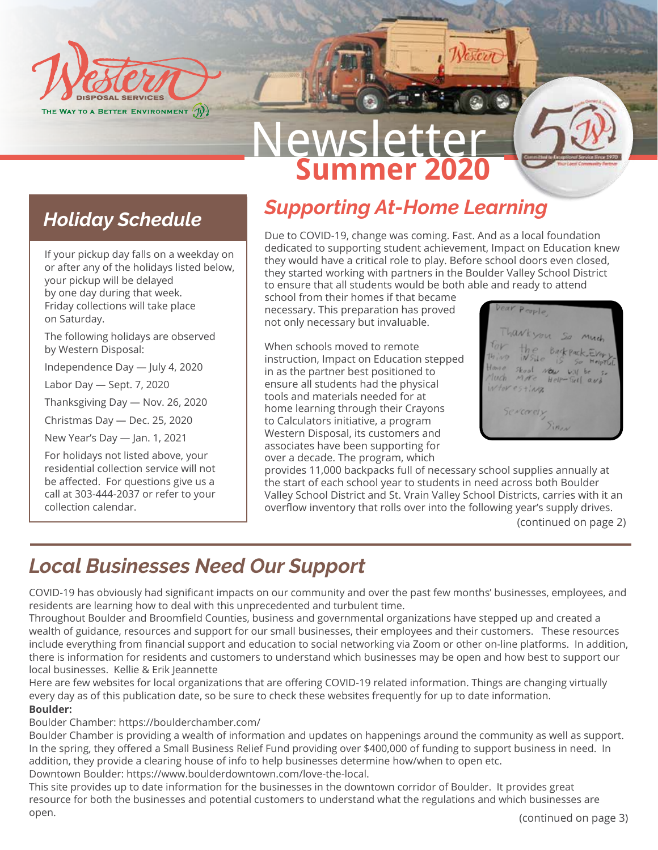

# <u>Vewslet</u> **Summer 2020**

### *Holiday Schedule*

If your pickup day falls on a weekday on or after any of the holidays listed below, your pickup will be delayed by one day during that week. Friday collections will take place on Saturday.

The following holidays are observed by Western Disposal:

Independence Day — July 4, 2020

Labor Day — Sept. 7, 2020

Thanksgiving Day — Nov. 26, 2020

Christmas Day — Dec. 25, 2020

New Year's Day — Jan. 1, 2021

For holidays not listed above, your residential collection service will not be affected. For questions give us a call at 303-444-2037 or refer to your collection calendar.

## *Supporting At-Home Learning*

Due to COVID-19, change was coming. Fast. And as a local foundation dedicated to supporting student achievement, Impact on Education knew they would have a critical role to play. Before school doors even closed, they started working with partners in the Boulder Valley School District to ensure that all students would be both able and ready to attend

Vestern

school from their homes if that became necessary. This preparation has proved not only necessary but invaluable.

When schools moved to remote instruction, Impact on Education stepped in as the partner best positioned to ensure all students had the physical tools and materials needed for at home learning through their Crayons to Calculators initiative, a program Western Disposal, its customers and associates have been supporting for over a decade. The program, which

People harkyou so Backpack Skool Now will be Auch MAR Help-Full and intoresting Severely Sinn

provides 11,000 backpacks full of necessary school supplies annually at the start of each school year to students in need across both Boulder Valley School District and St. Vrain Valley School Districts, carries with it an overflow inventory that rolls over into the following year's supply drives.

(continued on page 2)

# *Local Businesses Need Our Support*

COVID-19 has obviously had significant impacts on our community and over the past few months' businesses, employees, and residents are learning how to deal with this unprecedented and turbulent time.

Throughout Boulder and Broomfield Counties, business and governmental organizations have stepped up and created a wealth of guidance, resources and support for our small businesses, their employees and their customers. These resources include everything from financial support and education to social networking via Zoom or other on-line platforms. In addition, there is information for residents and customers to understand which businesses may be open and how best to support our local businesses. Kellie & Erik Jeannette

Here are few websites for local organizations that are offering COVID-19 related information. Things are changing virtually every day as of this publication date, so be sure to check these websites frequently for up to date information. **Boulder:**

Boulder Chamber: https://boulderchamber.com/

Boulder Chamber is providing a wealth of information and updates on happenings around the community as well as support. In the spring, they offered a Small Business Relief Fund providing over \$400,000 of funding to support business in need. In addition, they provide a clearing house of info to help businesses determine how/when to open etc. Downtown Boulder: https://www.boulderdowntown.com/love-the-local.

This site provides up to date information for the businesses in the downtown corridor of Boulder. It provides great resource for both the businesses and potential customers to understand what the regulations and which businesses are open.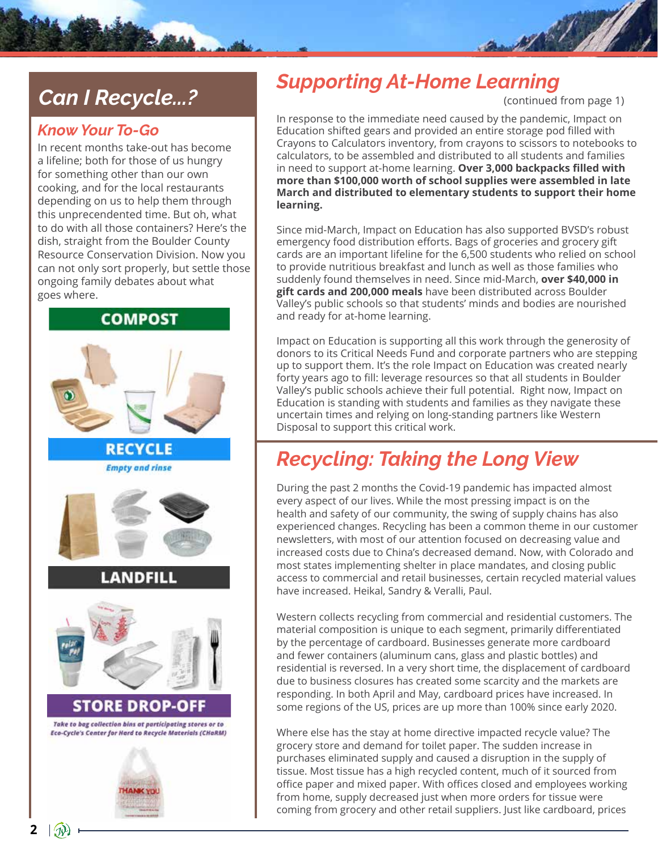## *Can I Recycle...?*

### *Know Your To-Go*

In recent months take-out has become a lifeline; both for those of us hungry for something other than our own cooking, and for the local restaurants depending on us to help them through this unprecendented time. But oh, what to do with all those containers? Here's the dish, straight from the Boulder County Resource Conservation Division. Now you can not only sort properly, but settle those ongoing family debates about what goes where.

### **COMPOST**



### *Supporting At-Home Learning*

(continued from page 1)

and of the

In response to the immediate need caused by the pandemic, Impact on Education shifted gears and provided an entire storage pod filled with Crayons to Calculators inventory, from crayons to scissors to notebooks to calculators, to be assembled and distributed to all students and families in need to support at-home learning. **Over 3,000 backpacks filled with more than \$100,000 worth of school supplies were assembled in late March and distributed to elementary students to support their home learning.**

Since mid-March, Impact on Education has also supported BVSD's robust emergency food distribution efforts. Bags of groceries and grocery gift cards are an important lifeline for the 6,500 students who relied on school to provide nutritious breakfast and lunch as well as those families who suddenly found themselves in need. Since mid-March, **over \$40,000 in gift cards and 200,000 meals** have been distributed across Boulder Valley's public schools so that students' minds and bodies are nourished and ready for at-home learning.

Impact on Education is supporting all this work through the generosity of donors to its Critical Needs Fund and corporate partners who are stepping up to support them. It's the role Impact on Education was created nearly forty years ago to fill: leverage resources so that all students in Boulder Valley's public schools achieve their full potential. Right now, Impact on Education is standing with students and families as they navigate these uncertain times and relying on long-standing partners like Western Disposal to support this critical work.

### *Recycling: Taking the Long View*

During the past 2 months the Covid-19 pandemic has impacted almost every aspect of our lives. While the most pressing impact is on the health and safety of our community, the swing of supply chains has also experienced changes. Recycling has been a common theme in our customer newsletters, with most of our attention focused on decreasing value and increased costs due to China's decreased demand. Now, with Colorado and most states implementing shelter in place mandates, and closing public access to commercial and retail businesses, certain recycled material values have increased. Heikal, Sandry & Veralli, Paul.

Western collects recycling from commercial and residential customers. The material composition is unique to each segment, primarily differentiated by the percentage of cardboard. Businesses generate more cardboard and fewer containers (aluminum cans, glass and plastic bottles) and residential is reversed. In a very short time, the displacement of cardboard due to business closures has created some scarcity and the markets are responding. In both April and May, cardboard prices have increased. In some regions of the US, prices are up more than 100% since early 2020.

Where else has the stay at home directive impacted recycle value? The grocery store and demand for toilet paper. The sudden increase in purchases eliminated supply and caused a disruption in the supply of tissue. Most tissue has a high recycled content, much of it sourced from office paper and mixed paper. With offices closed and employees working from home, supply decreased just when more orders for tissue were coming from grocery and other retail suppliers. Just like cardboard, prices

**2**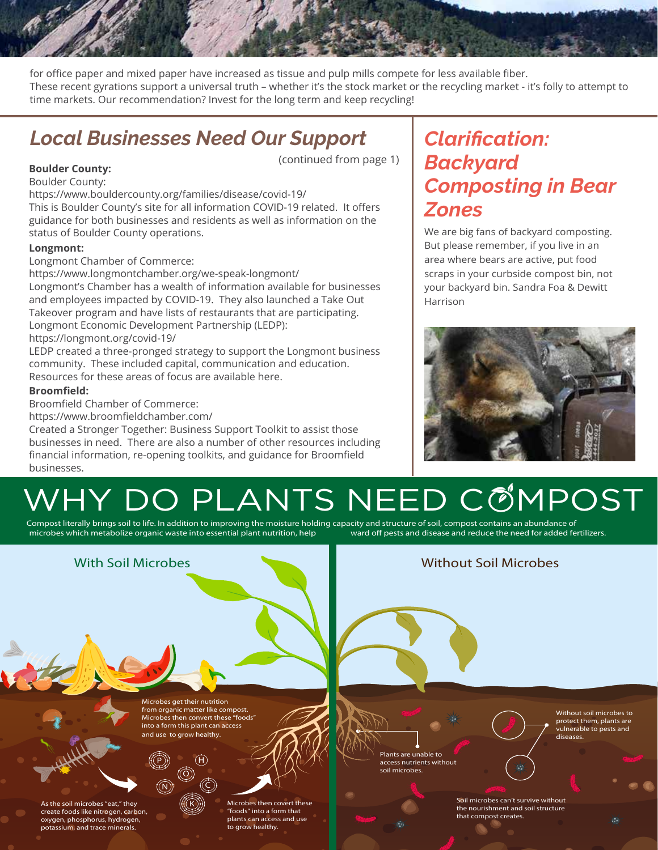for office paper and mixed paper have increased as tissue and pulp mills compete for less available fiber. These recent gyrations support a universal truth – whether it's the stock market or the recycling market - it's folly to attempt to time markets. Our recommendation? Invest for the long term and keep recycling!

(continued from page 1)

### *Local Businesses Need Our Support*

#### **Boulder County:**

Boulder County:

https://www.bouldercounty.org/families/disease/covid-19/

This is Boulder County's site for all information COVID-19 related. It offers guidance for both businesses and residents as well as information on the status of Boulder County operations.

#### **Longmont:**

Longmont Chamber of Commerce:

https://www.longmontchamber.org/we-speak-longmont/ Longmont's Chamber has a wealth of information available for businesses and employees impacted by COVID-19. They also launched a Take Out Takeover program and have lists of restaurants that are participating. Longmont Economic Development Partnership (LEDP): https://longmont.org/covid-19/

LEDP created a three-pronged strategy to support the Longmont business community. These included capital, communication and education. Resources for these areas of focus are available here.

#### **Broomfield:**

Broomfield Chamber of Commerce:

https://www.broomfieldchamber.com/

Created a Stronger Together: Business Support Toolkit to assist those businesses in need. There are also a number of other resources including financial information, re-opening toolkits, and guidance for Broomfield businesses.

### *Clarification: Backyard Composting in Bear Zones*

We are big fans of backyard composting. But please remember, if you live in an area where bears are active, put food scraps in your curbside compost bin, not your backyard bin. Sandra Foa & Dewitt Harrison



# WHY DO PLANTS NEED COMPOST

Compost literally brings soil to life. In addition to improving the moisture holding capacity and structure of soil, compost contains an abundance of contains an abundance of contains an abundance of persts and disease and microbes which metabolize organic waste into essential plant nutrition, help

#### **With Soil Microbes Without Soil Microbes Microbes get their nutrition from organic matter like compost. Without soil microbes to Microbes then convert these "foods" protect them, plants are into a form this plant can access vulnerable to pests and and use to grow healthy. diseases. Plants are unable to**   $(H)$ P **access nutrients without soil microbes.**  $\ddot{\mathbf{O}}$  $\widehat{N})$   $\qquad$   $\qquad$   $\qquad$   $\qquad$   $\qquad$   $\qquad$   $\qquad$   $\qquad$   $\qquad$   $\qquad$   $\qquad$   $\qquad$   $\qquad$   $\qquad$   $\qquad$   $\qquad$   $\qquad$   $\qquad$   $\qquad$   $\qquad$   $\qquad$   $\qquad$   $\qquad$   $\qquad$   $\qquad$   $\qquad$   $\qquad$   $\qquad$   $\qquad$   $\qquad$   $\qquad$   $\qquad$   $\qquad$   $\qquad$   $\qquad$   $\$ **Soil microbes can't survive without As the soil microbes "eat," they**  K **Microbes then covert these the nourishment and soil structure create foods like nitrogen, carbon, "foods" into a form that that compost creates. oxygen, phosphorus, hydrogen, plants can access and use**   $\mathcal{C}$ **potassium, and trace minerals. to grow healthy.**